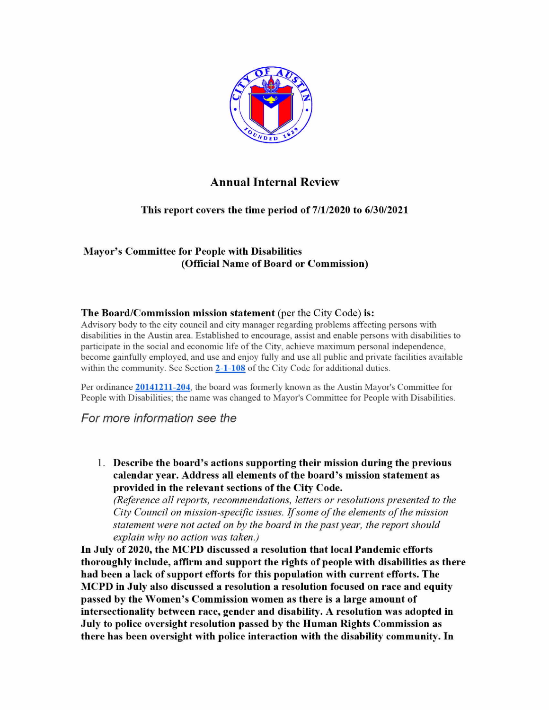

## Annual Internal Review

This report covers the time period of 7/1/2020 to 6/30/2021

## Mayor's Committee for People with Disabilities (Official Name of Board or Commission)

## The Board/Commission mission statement (per the City Code) is:

Advisory body to the citv council and citv manager regarding problems affecting persons with disabilities in the Austin area. Established to encourage, assist and enable persons with disabilities to participate in the social and economic life ofthe City. achieve maximum personal independence, become gainfully employed. and use and enjoy fully and use all public and private facilities available within the community. See Section 2-1-108 of the City Code for additional duties.

Per ordinance 20141211-204, the board was formerly known as the Austin Mayor's Committee for People with Disabilities: the name was changed to Mayor's Committee for People with Disabilities.

For more information see the

1. Describe the board's actions supporting their mission during the previous calendar year. Address all elements of the board's mission statement as provided in the relevant sections of the City Code.

(Reference all reports, recommendations, letters or resolutions presented to the City Council on mission-specific issues. If some of the elements of the mission statement were not acted on by the board in the past year, the report should explain why no action was taken.)

In July of 2020, the MCPD discussed a resolution that local Pandemic efforts thoroughly include, affirm and support the rights of people with disabilities as there had been <sup>a</sup> lack of support efforts for this population with current efforts. The AICPD in July also discussed <sup>a</sup> resolution <sup>a</sup> resolution focused on race and equity passed by the Women's Commission women as there is <sup>a</sup> large amount of intersectionality between race, gender and disability. A resolution was adopted in July to police oversight resolution passed by the Human Rights Commission as there has been oversight with police interaction with the disability community. In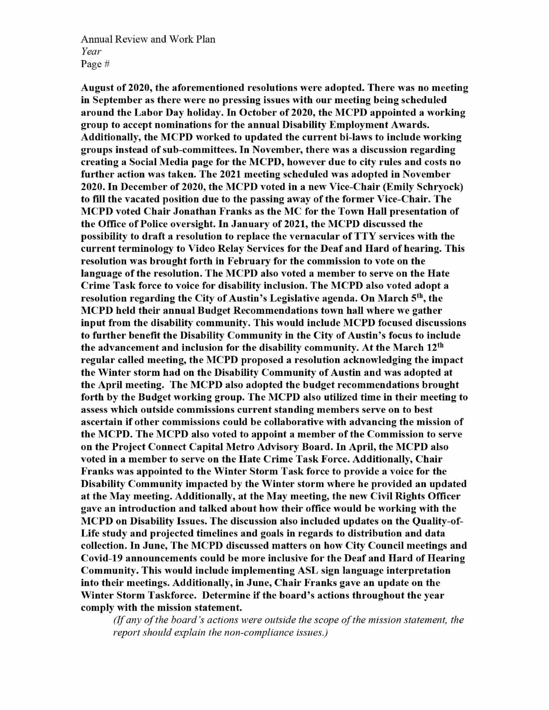Annual Review and Work Plan Year Page #

August of 2020, the aforementioned resolutions were adopted. There was no meeting in September as there were no pressing issues with our meeting being scheduled around the Labor Day holiday. In October of 2020, the AICPD appointed <sup>a</sup> working group to accept nominations for the annual Disability Employment Awards. Additionally, the AICPD worked to updated the current bi-laws to include working groups instead of sub-committees. In November, there was <sup>a</sup> discussion regarding creating <sup>a</sup> Social Media page for the MCPD, however due to city rules and costs no further action was taken. The <sup>2021</sup> meeting scheduled was adopted in November 2020. In December of 2020, the MCPD voted in <sup>a</sup> new Vice-Chair (Emily Schryock) to fill the vacated position due to the passing away of the former Vice-Chair. The AICPD voted Chair Jonathan Franks as the MC for the Town Hall presentation of the Office of Police oversight. In January of 2021, the MCPD discussed the possibility to draft <sup>a</sup> resolution to replace the vernacular of TTY services with the current terminology to Video Relay Services for the Deaf and Hard of hearing. This resolution was brought forth in February for the commission to vote on the language of the resolution. The MCPD also voted a member to serve on the Hate Crime Task force to voice for disability inclusion. The MCPD also voted adopt a resolution regarding the City of Austin's Legislative agenda. On March  $5<sup>th</sup>$ , the AICPD held their annual Budget Recommendations town hall where we gather input from the disability community. This would include MCPD focused discussions to further benefit the Disability Community in the City of Austin's focus to include the advancement and inclusion for the disability community. At the March  $12<sup>th</sup>$ regular called meeting, the AICPD proposed <sup>a</sup> resolution acknowledging the impact the Winter storm had on the Disability Community of Austin and was adopted at the April meeting. The MCPD also adopted the budget recommendations brought forth by the Budget working group. The MCPD also utilized time in their meeting to assess which outside commissions current standing members serve on to best ascertain if other commissions could be collaborative with advancing the mission of the MCPD. The MCPD also voted to appoint a member of the Commission to serve on the Project Connect Capital Metro Advisory Board. In April, the MCPD also voted in <sup>a</sup> member to serve on the Hate Crime Task Force. Additionally, Chair Franks was appointed to the Winter Storm Task force to provide <sup>a</sup> voice for the Disability Community impacted by the Winter storm where he provided an updated at the AIay meeting. Additionally, at the AIay meeting, the new Civil Rights Officer gave an introduction and talked about how their office would be working with the AICPD on Disability Issues. The discussion also included updates on the Quality-of-Life study and projected timelines and goals in regards to distribution and data collection. In June, The MCPD discussed matters on how City Council meetings and Covid-19 announcements could be more inclusive for the Deaf and Hard of Hearing Community. This would include implementing ASL sign language interpretation into their meetings. Additionally, in June, Chair Franks gave an update on the Winter Storm Taskforce. Determine if the board's actions throughout the year comply with the mission statement.

(If any of the board's actions were outside the scope of the mission statement, the report should explain the non-compliance issues.)